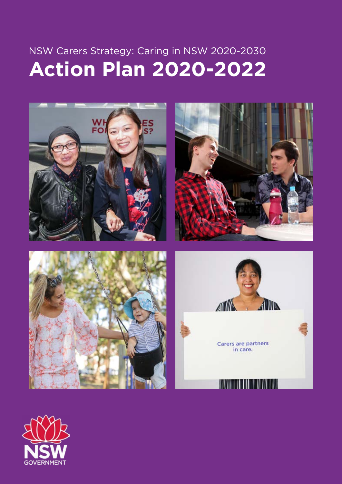# NSW Carers Strategy: Caring in NSW 2020-2030 **Action Plan 2020-2022**









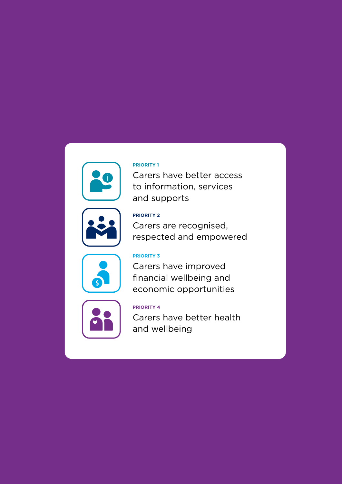## **PRIORITY 1** Carers have better access

to information, services and supports

### **PRIORITY 2**

Carers are recognised, respected and empowered



### **PRIORITY 3**

Carers have improved financial wellbeing and economic opportunities



### **PRIORITY 4**

Carers have better health and wellbeing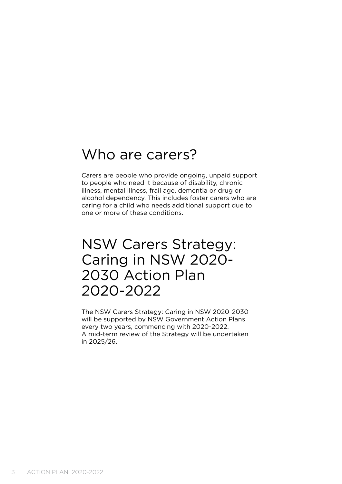# Who are carers?

Carers are people who provide ongoing, unpaid support to people who need it because of disability, chronic illness, mental illness, frail age, dementia or drug or alcohol dependency. This includes foster carers who are caring for a child who needs additional support due to one or more of these conditions.

# NSW Carers Strategy: Caring in NSW 2020- 2030 Action Plan 2020-2022

The NSW Carers Strategy: Caring in NSW 2020-2030 will be supported by NSW Government Action Plans every two years, commencing with 2020-2022. A mid-term review of the Strategy will be undertaken in 2025/26.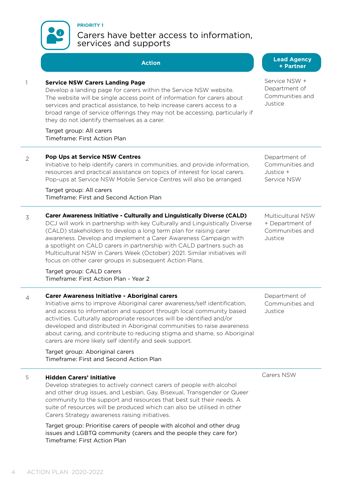

**PRIORITY 1**

## Carers have better access to information, services and supports

# **Action Lead Agency**

|                | ACLIVII                                                                                                                                                                                                                                                                                                                                                                                                                                                                                                           | + Partner                                                          |
|----------------|-------------------------------------------------------------------------------------------------------------------------------------------------------------------------------------------------------------------------------------------------------------------------------------------------------------------------------------------------------------------------------------------------------------------------------------------------------------------------------------------------------------------|--------------------------------------------------------------------|
|                | <b>Service NSW Carers Landing Page</b><br>Develop a landing page for carers within the Service NSW website.<br>The website will be single access point of information for carers about<br>services and practical assistance, to help increase carers access to a<br>broad range of service offerings they may not be accessing, particularly if<br>they do not identify themselves as a carer.<br>Target group: All carers<br>Timeframe: First Action Plan                                                        | Service NSW +<br>Department of<br>Communities and<br>Justice       |
|                |                                                                                                                                                                                                                                                                                                                                                                                                                                                                                                                   |                                                                    |
| $\overline{2}$ | <b>Pop Ups at Service NSW Centres</b><br>Initiative to help identify carers in communities, and provide information,<br>resources and practical assistance on topics of interest for local carers.<br>Pop-ups at Service NSW Mobile Service Centres will also be arranged.                                                                                                                                                                                                                                        | Department of<br>Communities and<br>Justice +<br>Service NSW       |
|                | Target group: All carers<br>Timeframe: First and Second Action Plan                                                                                                                                                                                                                                                                                                                                                                                                                                               |                                                                    |
| 3              | Carer Awareness Initiative - Culturally and Linguistically Diverse (CALD)<br>DCJ will work in partnership with key Culturally and Linguistically Diverse<br>(CALD) stakeholders to develop a long term plan for raising carer<br>awareness. Develop and implement a Carer Awareness Campaign with<br>a spotlight on CALD carers in partnership with CALD partners such as<br>Multicultural NSW in Carers Week (October) 2021. Similar initiatives will<br>focus on other carer groups in subsequent Action Plans. | Multicultural NSW<br>+ Department of<br>Communities and<br>Justice |
|                | Target group: CALD carers<br>Timeframe: First Action Plan - Year 2                                                                                                                                                                                                                                                                                                                                                                                                                                                |                                                                    |
| $\overline{4}$ | Carer Awareness Initiative - Aboriginal carers<br>Initiative aims to improve Aboriginal carer awareness/self identification,<br>and access to information and support through local community based<br>activities. Culturally appropriate resources will be identified and/or<br>developed and distributed in Aboriginal communities to raise awareness<br>about caring, and contribute to reducing stigma and shame, so Aboriginal<br>carers are more likely self identify and seek support.                     | Department of<br>Communities and<br>Justice                        |
|                | Target group: Aboriginal carers<br>Timeframe: First and Second Action Plan                                                                                                                                                                                                                                                                                                                                                                                                                                        |                                                                    |
| 5              | <b>Hidden Carers' Initiative</b><br>Develop strategies to actively connect carers of people with alcohol<br>and other drug issues, and Lesbian, Gay, Bisexual, Transgender or Queer<br>community to the support and resources that best suit their needs. A<br>suite of resources will be produced which can also be utilised in other<br>Carers Strategy awareness raising initiatives.                                                                                                                          | Carers NSW                                                         |

Target group: Prioritise carers of people with alcohol and other drug issues and LGBTQ community (carers and the people they care for) Timeframe: First Action Plan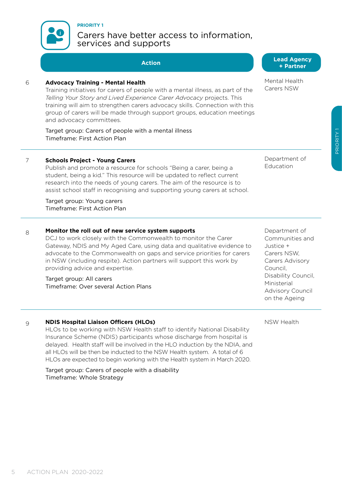

## Carers have better access to information, services and supports

#### 6 **Advocacy Training - Mental Health**

**PRIORITY 1**

Training initiatives for carers of people with a mental illness, as part of the *Telling Your Story and Lived Experience Carer Advocacy* projects. This training will aim to strengthen carers advocacy skills. Connection with this group of carers will be made through support groups, education meetings and advocacy committees.

Target group: Carers of people with a mental illness Timeframe: First Action Plan

#### 7 **Schools Project - Young Carers**

Publish and promote a resource for schools "Being a carer, being a student, being a kid." This resource will be updated to reflect current research into the needs of young carers. The aim of the resource is to assist school staff in recognising and supporting young carers at school.

Target group: Young carers Timeframe: First Action Plan

#### 8 **Monitor the roll out of new service system supports**

DCJ to work closely with the Commonwealth to monitor the Carer Gateway, NDIS and My Aged Care, using data and qualitative evidence to advocate to the Commonwealth on gaps and service priorities for carers in NSW (including respite). Action partners will support this work by providing advice and expertise.

Target group: All carers Timeframe: Over several Action Plans

#### 9 **NDIS Hospital Liaison Officers (HLOs)**

HLOs to be working with NSW Health staff to identify National Disability Insurance Scheme (NDIS) participants whose discharge from hospital is delayed. Health staff will be involved in the HLO induction by the NDIA, and all HLOs will be then be inducted to the NSW Health system. A total of 6 HLOs are expected to begin working with the Health system in March 2020.

Target group: Carers of people with a disability Timeframe: Whole Strategy

Department of Education

Department of Communities and Justice + Carers NSW, Carers Advisory Council, Disability Council, Ministerial Advisory Council on the Ageing

NSW Health

**Action Lead Agency + Partner**

Mental Health Carers NSW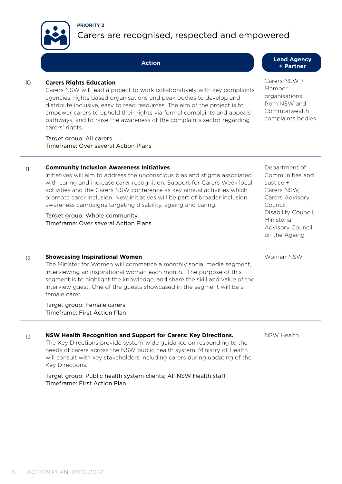



# Carers are recognised, respected and empowered

#### 10 **Carers Rights Education**

Carers NSW will lead a project to work collaboratively with key complaints agencies, rights based organisations and peak bodies to develop and distribute inclusive, easy to read resources. The aim of the project is to empower carers to uphold their rights via formal complaints and appeals pathways, and to raise the awareness of the complaints sector regarding carers' rights.

Target group: All carers Timeframe: Over several Action Plans

#### 11 **Community Inclusion Awareness Initiatives**

Initiatives will aim to address the unconscious bias and stigma associated with caring and increase carer recognition. Support for Carers Week local activities and the Carers NSW conference as key annual activities which promote carer inclusion. New initiatives will be part of broader inclusion awareness campaigns targeting disability, ageing and caring.

Target group: Whole community Timeframe: Over several Action Plans Department of Communities and Justice + Carers NSW, Carers Advisory Council, Disability Council, Ministerial Advisory Council on the Ageing

#### 12 **Showcasing Inspirational Women**

The Minister for Women will commence a monthly social media segment, interviewing an inspirational woman each month. The purpose of this segment is to highlight the knowledge, and share the skill and value of the interview guest. One of the guests showcased in the segment will be a female carer.

Target group: Female carers Timeframe: First Action Plan

#### 13 **NSW Health Recognition and Support for Carers: Key Directions.**

The Key Directions provide system-wide guidance on responding to the needs of carers across the NSW public health system. Ministry of Health will consult with key stakeholders including carers during updating of the Key Directions.

Target group: Public health system clients; All NSW Health staff Timeframe: First Action Plan

NSW Health

Women NSW

**Action Lead Agency + Partner**

> Carers NSW + Member organisations from NSW and Commonwealth complaints bodies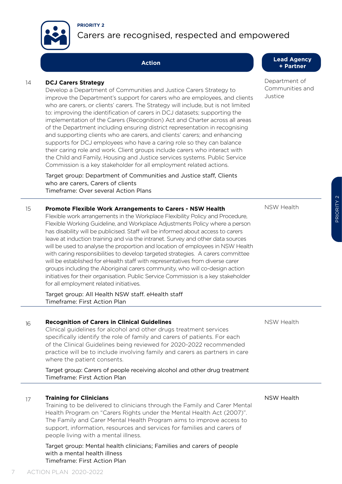



# Carers are recognised, respected and empowered

#### 14 **DCJ Carers Strategy**

Develop a Department of Communities and Justice Carers Strategy to improve the Department's support for carers who are employees, and clients who are carers, or clients' carers. The Strategy will include, but is not limited to: improving the identification of carers in DCJ datasets; supporting the implementation of the Carers (Recognition) Act and Charter across all areas of the Department including ensuring district representation in recognising and supporting clients who are carers, and clients' carers; and enhancing supports for DCJ employees who have a caring role so they can balance their caring role and work. Client groups include carers who interact with the Child and Family, Housing and Justice services systems. Public Service Commission is a key stakeholder for all employment related actions.

Target group: Department of Communities and Justice staff, Clients who are carers, Carers of clients Timeframe: Over several Action Plans

#### **Action Lead Agency + Partner**

Department of Communities and Justice

| 15 | Promote Flexible Work Arrangements to Carers - NSW Health<br>Flexible work arrangements in the Workplace Flexibility Policy and Procedure,<br>Flexible Working Guideline, and Workplace Adjustments Policy where a person<br>has disability will be publicised. Staff will be informed about access to carers<br>leave at induction training and via the intranet. Survey and other data sources<br>will be used to analyse the proportion and location of employees in NSW Health<br>with caring responsibilities to develop targeted strategies. A carers committee<br>will be established for eHealth staff with representatives from diverse carer<br>groups including the Aboriginal carers community, who will co-design action<br>initiatives for their organisation. Public Service Commission is a key stakeholder<br>for all employment related initiatives. | NSW Health |
|----|------------------------------------------------------------------------------------------------------------------------------------------------------------------------------------------------------------------------------------------------------------------------------------------------------------------------------------------------------------------------------------------------------------------------------------------------------------------------------------------------------------------------------------------------------------------------------------------------------------------------------------------------------------------------------------------------------------------------------------------------------------------------------------------------------------------------------------------------------------------------|------------|
|    | Target group: All Health NSW staff. eHealth staff                                                                                                                                                                                                                                                                                                                                                                                                                                                                                                                                                                                                                                                                                                                                                                                                                      |            |

Timeframe: First Action Plan

#### 16 **Recognition of Carers in Clinical Guidelines**

Clinical guidelines for alcohol and other drugs treatment services specifically identify the role of family and carers of patients. For each of the Clinical Guidelines being reviewed for 2020-2022 recommended practice will be to include involving family and carers as partners in care where the patient consents.

Target group: Carers of people receiving alcohol and other drug treatment Timeframe: First Action Plan

#### 17 **Training for Clinicians**

Training to be delivered to clinicians through the Family and Carer Mental Health Program on "Carers Rights under the Mental Health Act (2007)". The Family and Carer Mental Health Program aims to improve access to support, information, resources and services for families and carers of people living with a mental illness.

Target group: Mental health clinicians; Families and carers of people with a mental health illness Timeframe: First Action Plan

NSW Health

NSW Health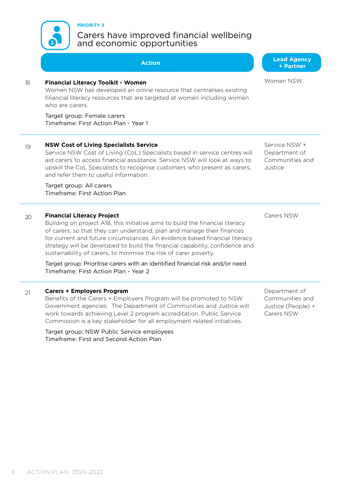Target group: NSW Public Service employees Timeframe: First and Second Action Plan

# **PRIORITY 3**

Carers have improved financial wellbeing and economic opportunities

|    | Action                                                                                                                                                                                                                                                                                                                                                                                                                                                                                                          | + Partner                                                            |
|----|-----------------------------------------------------------------------------------------------------------------------------------------------------------------------------------------------------------------------------------------------------------------------------------------------------------------------------------------------------------------------------------------------------------------------------------------------------------------------------------------------------------------|----------------------------------------------------------------------|
| 18 | <b>Financial Literacy Toolkit - Women</b><br>Women NSW has developed an online resource that centralises existing<br>financial literacy resources that are targeted at women including women<br>who are carers.<br>Target group: Female carers<br>Timeframe: First Action Plan - Year 1                                                                                                                                                                                                                         | Women NSW                                                            |
|    |                                                                                                                                                                                                                                                                                                                                                                                                                                                                                                                 |                                                                      |
| 19 | <b>NSW Cost of Living Specialists Service</b><br>Service NSW Cost of Living (CoL) Specialists based in service centres will<br>aid carers to access financial assistance. Service NSW will look at ways to<br>upskill the CoL Specialists to recognise customers who present as carers,<br>and refer them to useful information.                                                                                                                                                                                | Service NSW +<br>Department of<br>Communities and<br>Justice         |
|    | Target group: All carers<br>Timeframe: First Action Plan                                                                                                                                                                                                                                                                                                                                                                                                                                                        |                                                                      |
| 20 | <b>Financial Literacy Project</b><br>Building on project A18, this initiative aims to build the financial literacy<br>of carers, so that they can understand, plan and manage their finances<br>for current and future circumstances. An evidence based financial literacy<br>strategy will be developed to build the financial capability, confidence and<br>sustainability of carers, to minimise the risk of carer poverty.<br>Target group: Prioritise carers with an identified financial risk and/or need | Carers NSW                                                           |
|    | Timeframe: First Action Plan - Year 2                                                                                                                                                                                                                                                                                                                                                                                                                                                                           |                                                                      |
| 21 | <b>Carers + Employers Program</b><br>Benefits of the Carers + Employers Program will be promoted to NSW<br>Government agencies. The Department of Communities and Justice will<br>work towards achieving Level 2 program accreditation. Public Service<br>Commission is a key stakeholder for all employment related initiatives.                                                                                                                                                                               | Department of<br>Communities and<br>Justice (People) +<br>Carers NSW |

**Lead Agency**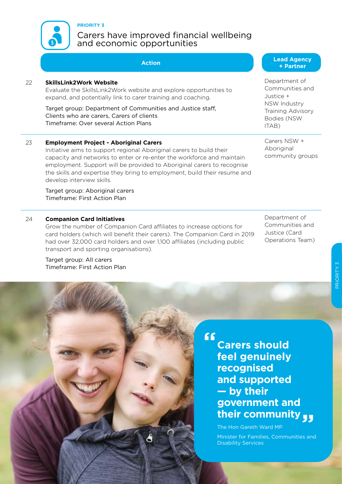

#### **PRIORITY 3**

## Carers have improved financial wellbeing and economic opportunities

| 22 | <b>SkillsLink2Work Website</b><br>Evaluate the SkillsLink2Work website and explore opportunities to<br>expand, and potentially link to carer training and coaching.                                                                                                                                                                                   | Depa<br>Comr<br>Justic                        |
|----|-------------------------------------------------------------------------------------------------------------------------------------------------------------------------------------------------------------------------------------------------------------------------------------------------------------------------------------------------------|-----------------------------------------------|
|    | Target group: Department of Communities and Justice staff,<br>Clients who are carers, Carers of clients<br>Timeframe: Over several Action Plans                                                                                                                                                                                                       | <b>NSW</b><br>Traini<br><b>Bodie</b><br>ITAB) |
| 23 | <b>Employment Project - Aboriginal Carers</b><br>Initiative aims to support regional Aboriginal carers to build their<br>capacity and networks to enter or re-enter the workforce and maintain<br>employment. Support will be provided to Aboriginal carers to recognise<br>the skills and expertise they bring to employment, build their resume and | Carer<br>Abor<br>comr                         |

Target group: Aboriginal carers Timeframe: First Action Plan

#### 24 **Companion Card Initiatives**

develop interview skills.

9 **PLAN 2020-2020** 

Grow the number of Companion Card affiliates to increase options for card holders (which will benefit their carers). The Companion Card in 2019 had over 32,000 card holders and over 1,100 affiliates (including public transport and sporting organisations).

Target group: All carers Timeframe: First Action Plan

#### **Action Lead Agency + Partner**

**artment** of munities and ce + Industry ing Advisory es (NSW ITAB)

 $rs$  NSW  $+$ iainal nunity groups

Department of Communities and Justice (Card Operations Team)

**Carers should feel genuinely recognised and supported — by their government and their community**

The Hon Gareth Ward MP

**"**

Minister for Families, Communities and Disability Services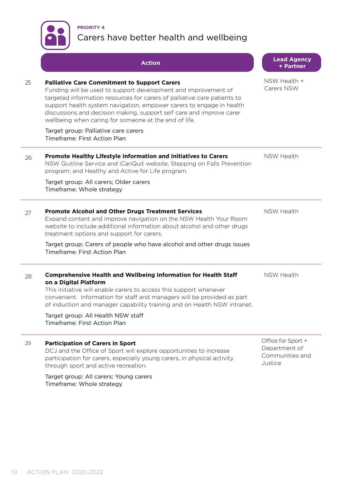

# **PRIORITY 4** Carers have better health and wellbeing

|    | <b>Action</b>                                                                                                                                                                                                                                                                                                                                                                                              | <b>Lead Agency</b><br>+ Partner                                   |
|----|------------------------------------------------------------------------------------------------------------------------------------------------------------------------------------------------------------------------------------------------------------------------------------------------------------------------------------------------------------------------------------------------------------|-------------------------------------------------------------------|
| 25 | <b>Palliative Care Commitment to Support Carers</b><br>Funding will be used to support development and improvement of<br>targeted information resources for carers of palliative care patients to<br>support health system navigation, empower carers to engage in health<br>discussions and decision making, support self care and improve carer<br>wellbeing when caring for someone at the end of life. | NSW Health +<br>Carers NSW                                        |
|    | Target group: Palliative care carers<br>Timeframe: First Action Plan                                                                                                                                                                                                                                                                                                                                       |                                                                   |
| 26 | Promote Healthy Lifestyle Information and Initiatives to Carers<br>NSW Quitline Service and iCanQuit website; Stepping on Falls Prevention<br>program; and Healthy and Active for Life program.                                                                                                                                                                                                            | NSW Health                                                        |
|    | Target group: All carers; Older carers<br>Timeframe: Whole strategy                                                                                                                                                                                                                                                                                                                                        |                                                                   |
| 27 | <b>Promote Alcohol and Other Drugs Treatment Services</b><br>Expand content and improve navigation on the NSW Health Your Room<br>website to include additional information about alcohol and other drugs<br>treatment options and support for carers.                                                                                                                                                     | NSW Health                                                        |
|    | Target group: Carers of people who have alcohol and other drugs issues<br>Timeframe: First Action Plan                                                                                                                                                                                                                                                                                                     |                                                                   |
| 28 | <b>Comprehensive Health and Wellbeing Information for Health Staff</b><br>on a Digital Platform<br>This initiative will enable carers to access this support whenever<br>convenient. Information for staff and managers will be provided as part<br>of induction and manager capability training and on Health NSW intranet.                                                                               | NSW Health                                                        |
|    | Target group: All Health NSW staff<br>Timeframe: First Action Plan                                                                                                                                                                                                                                                                                                                                         |                                                                   |
| 29 | <b>Participation of Carers in Sport</b><br>DCJ and the Office of Sport will explore opportunities to increase<br>participation for carers, especially young carers, in physical activity<br>through sport and active recreation.                                                                                                                                                                           | Office for Sport +<br>Department of<br>Communities and<br>Justice |
|    | Target group: All carers; Young carers                                                                                                                                                                                                                                                                                                                                                                     |                                                                   |

Timeframe: Whole strategy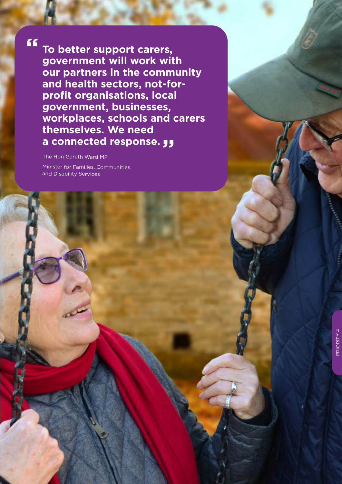**" To better support carers, government will work with our partners in the community and health sectors, not-forprofit organisations, local government, businesses, workplaces, schools and carers themselves. We need a connected response.**

The Hon Gareth Ward MP Minister for Families, Communities and Disability Services